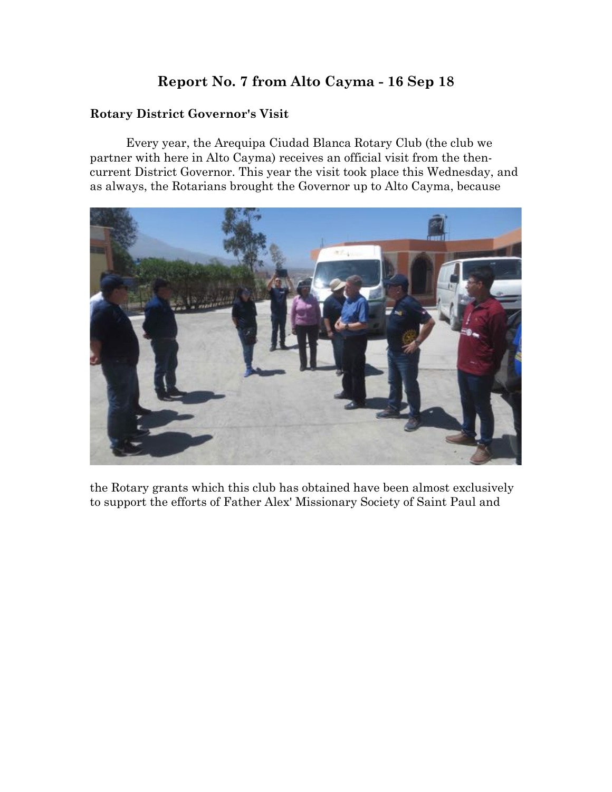# **Report No. 7 from Alto Cayma - 16 Sep 18**

#### **Rotary District Governor's Visit**

Every year, the Arequipa Ciudad Blanca Rotary Club (the club we partner with here in Alto Cayma) receives an official visit from the thencurrent District Governor. This year the visit took place this Wednesday, and as always, the Rotarians brought the Governor up to Alto Cayma, because



the Rotary grants which this club has obtained have been almost exclusively to support the efforts of Father Alex' Missionary Society of Saint Paul and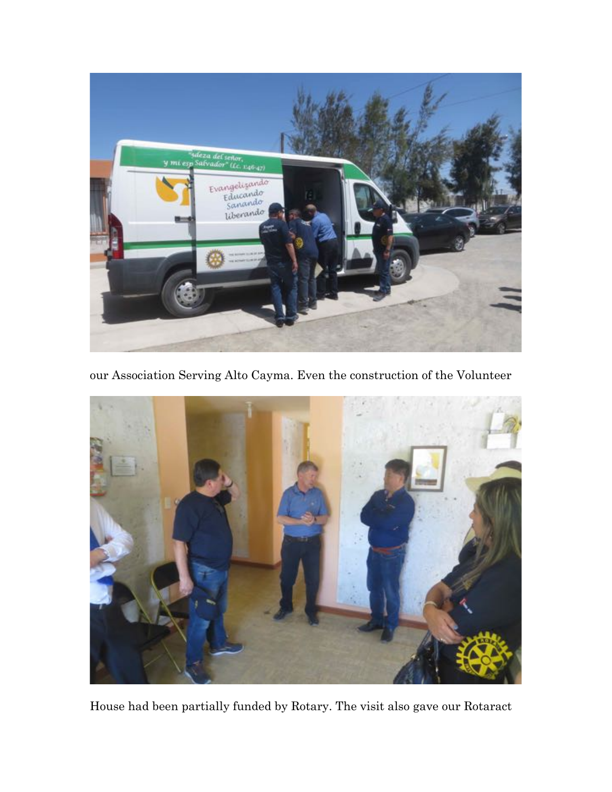

our Association Serving Alto Cayma. Even the construction of the Volunteer



House had been partially funded by Rotary. The visit also gave our Rotaract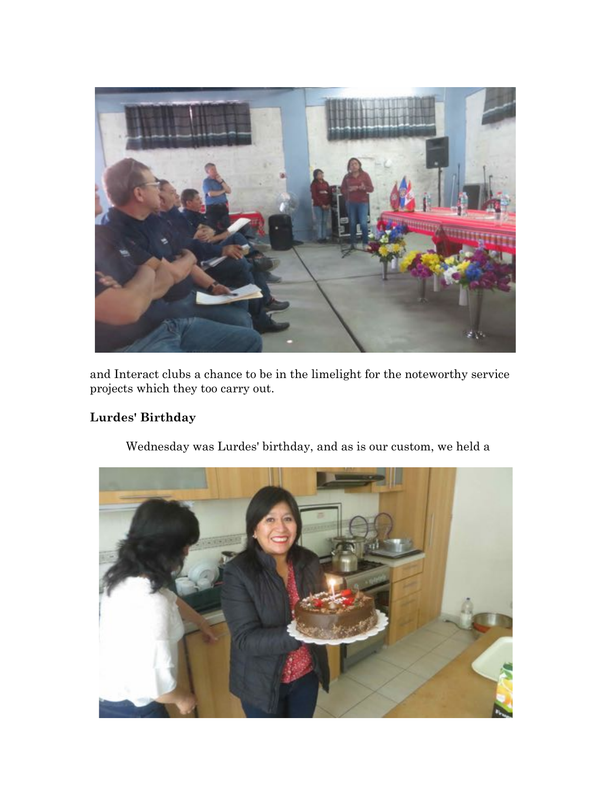

and Interact clubs a chance to be in the limelight for the noteworthy service projects which they too carry out.

## **Lurdes' Birthday**



Wednesday was Lurdes' birthday, and as is our custom, we held a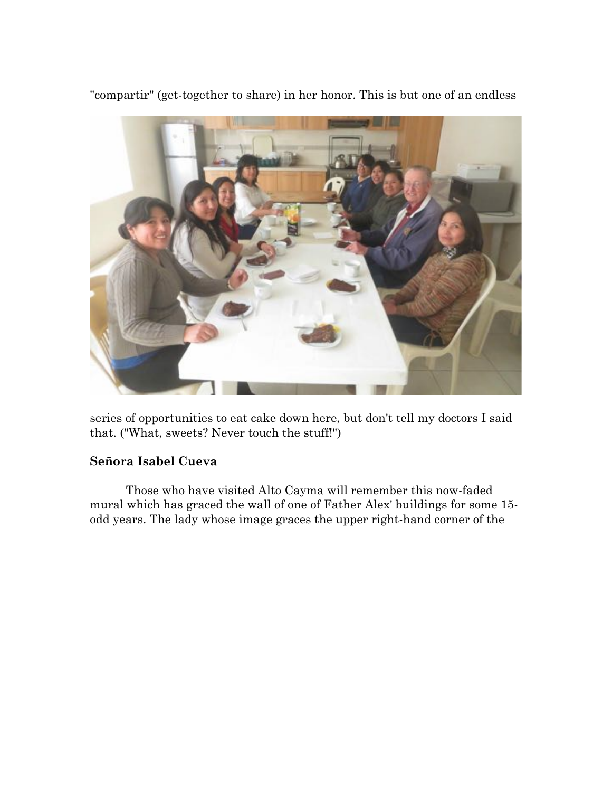"compartir" (get-together to share) in her honor. This is but one of an endless



series of opportunities to eat cake down here, but don't tell my doctors I said that. ("What, sweets? Never touch the stuff!")

#### **Señora Isabel Cueva**

Those who have visited Alto Cayma will remember this now-faded mural which has graced the wall of one of Father Alex' buildings for some 15 odd years. The lady whose image graces the upper right-hand corner of the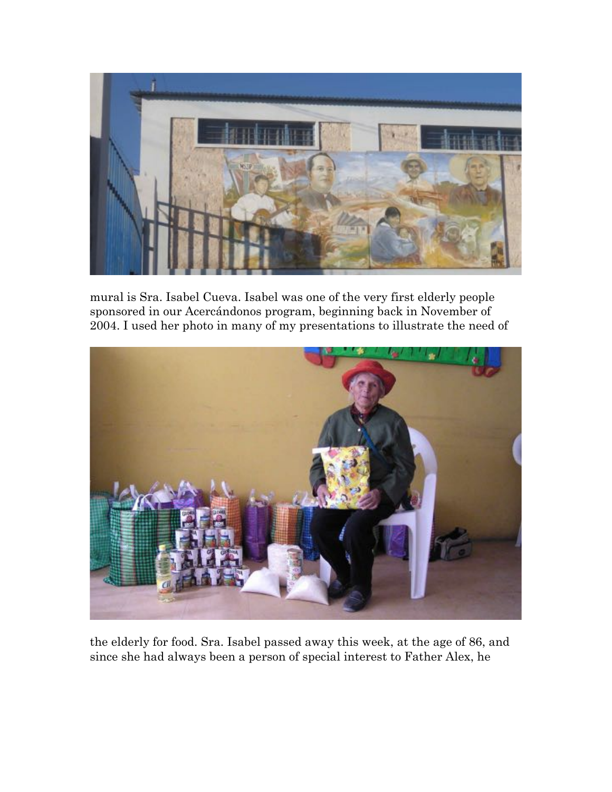

mural is Sra. Isabel Cueva. Isabel was one of the very first elderly people sponsored in our Acercándonos program, beginning back in November of 2004. I used her photo in many of my presentations to illustrate the need of



the elderly for food. Sra. Isabel passed away this week, at the age of 86, and since she had always been a person of special interest to Father Alex, he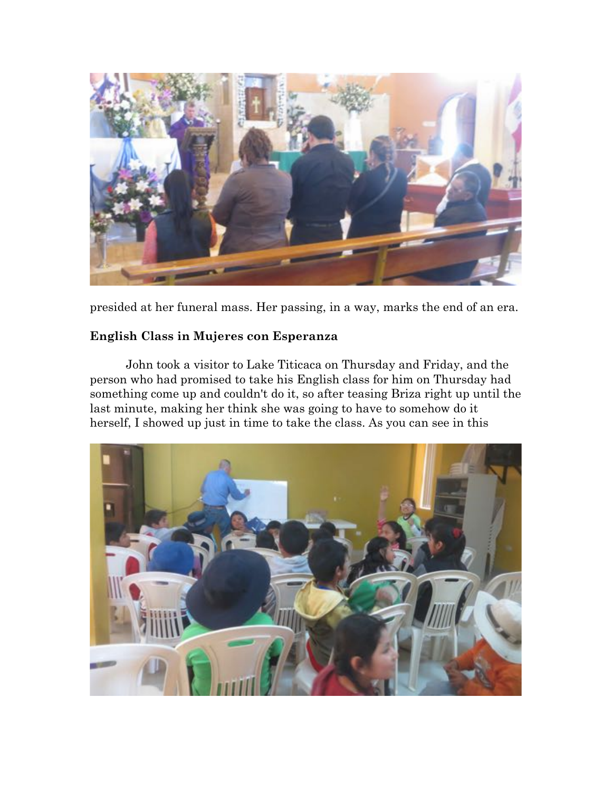

presided at her funeral mass. Her passing, in a way, marks the end of an era.

#### **English Class in Mujeres con Esperanza**

John took a visitor to Lake Titicaca on Thursday and Friday, and the person who had promised to take his English class for him on Thursday had something come up and couldn't do it, so after teasing Briza right up until the last minute, making her think she was going to have to somehow do it herself, I showed up just in time to take the class. As you can see in this

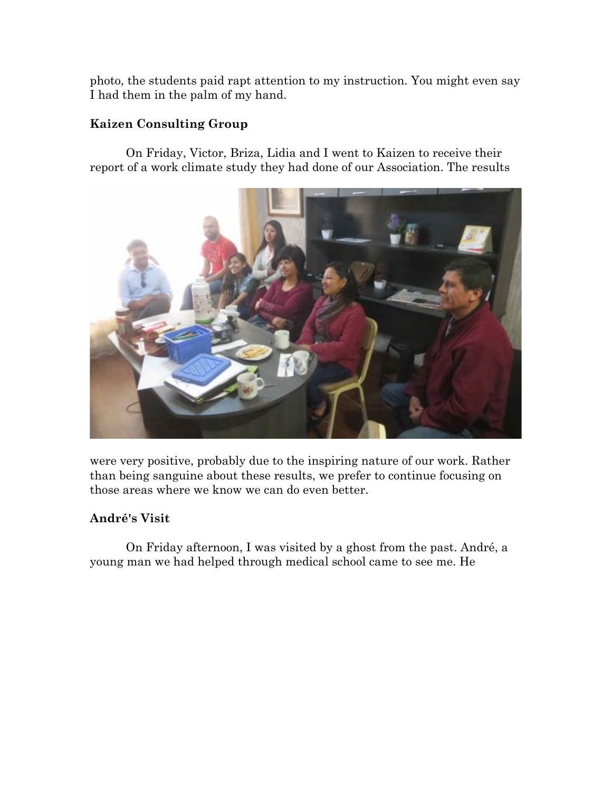photo, the students paid rapt attention to my instruction. You might even say I had them in the palm of my hand.

#### **Kaizen Consulting Group**

On Friday, Victor, Briza, Lidia and I went to Kaizen to receive their report of a work climate study they had done of our Association. The results



were very positive, probably due to the inspiring nature of our work. Rather than being sanguine about these results, we prefer to continue focusing on those areas where we know we can do even better.

#### **André's Visit**

On Friday afternoon, I was visited by a ghost from the past. André, a young man we had helped through medical school came to see me. He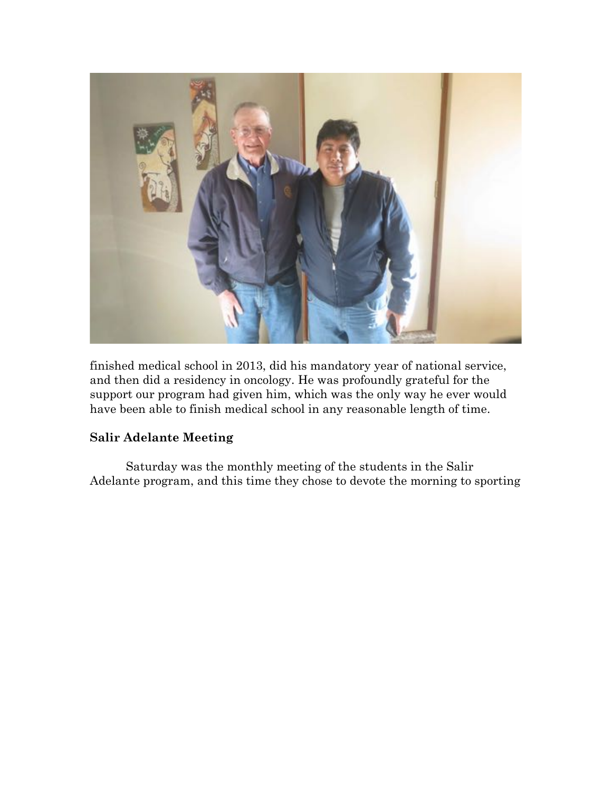

finished medical school in 2013, did his mandatory year of national service, and then did a residency in oncology. He was profoundly grateful for the support our program had given him, which was the only way he ever would have been able to finish medical school in any reasonable length of time.

### **Salir Adelante Meeting**

Saturday was the monthly meeting of the students in the Salir Adelante program, and this time they chose to devote the morning to sporting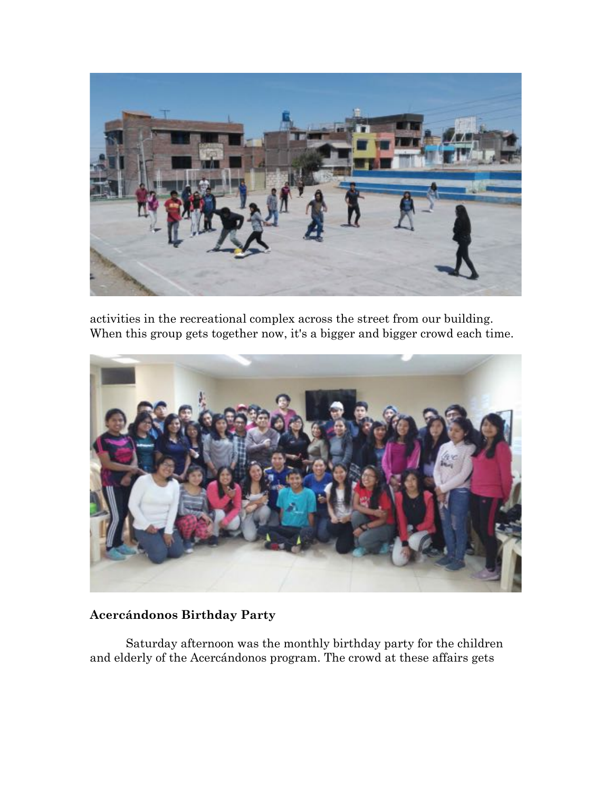

activities in the recreational complex across the street from our building. When this group gets together now, it's a bigger and bigger crowd each time.



#### **Acercándonos Birthday Party**

Saturday afternoon was the monthly birthday party for the children and elderly of the Acercándonos program. The crowd at these affairs gets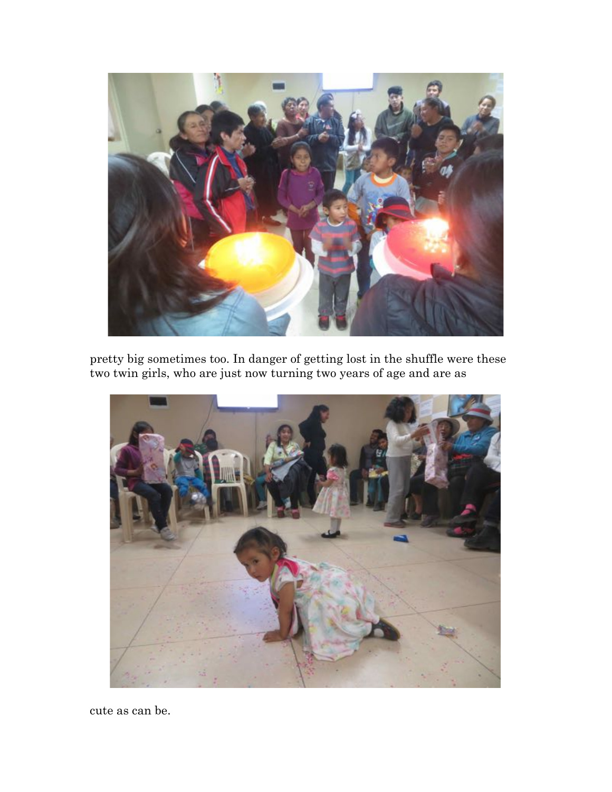

pretty big sometimes too. In danger of getting lost in the shuffle were these two twin girls, who are just now turning two years of age and are as



cute as can be.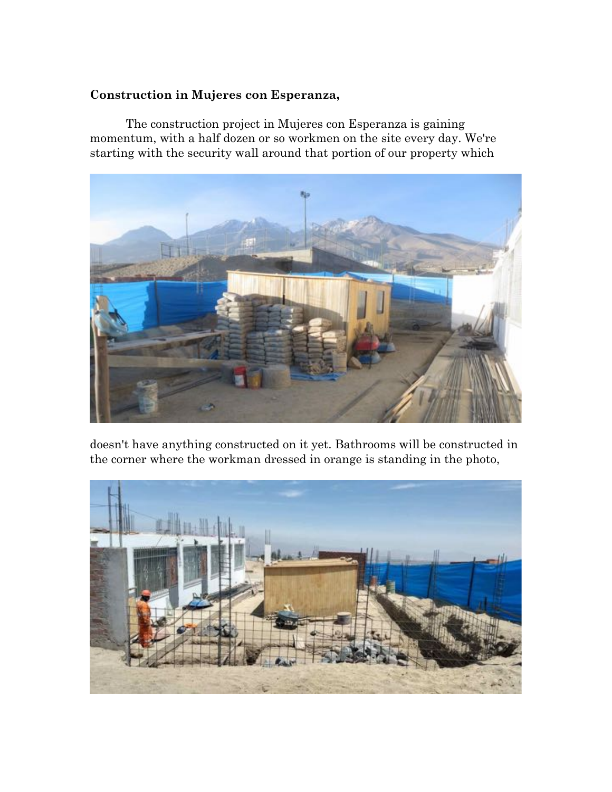#### **Construction in Mujeres con Esperanza,**

The construction project in Mujeres con Esperanza is gaining momentum, with a half dozen or so workmen on the site every day. We're starting with the security wall around that portion of our property which



doesn't have anything constructed on it yet. Bathrooms will be constructed in the corner where the workman dressed in orange is standing in the photo,